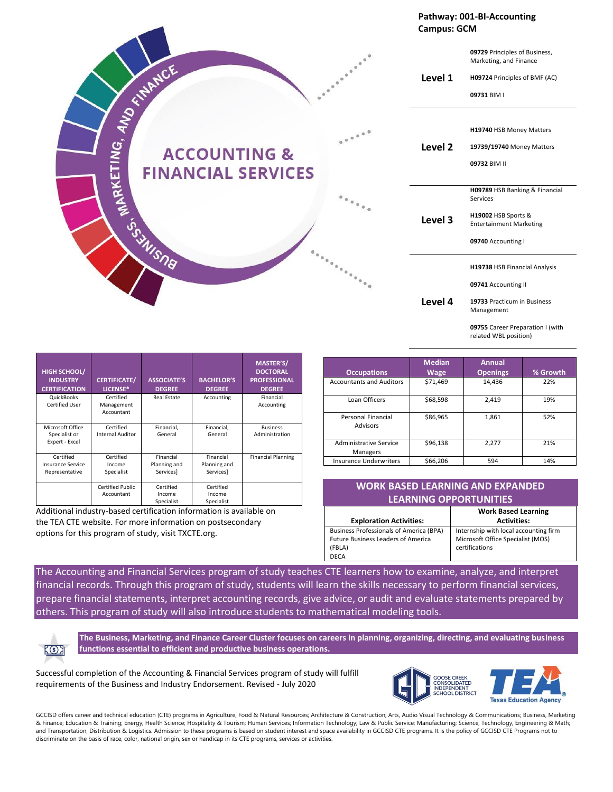**Pathway: 001-BI-Accounting Campus: GCM**

**Level 1 09729** Principles of Business, Marketing, and Finance **H09724** Principles of BMF (AC) **09731** BIM I **Level 2 H19740** HSB Money Matters **19739/19740** Money Matters **09732** BIM II **Level 3 H09789** HSB Banking & Financial Services **H19002** HSB Sports & Entertainment Marketing **09740** Accounting I **Level 4 H19738** HSB Financial Analysis **09741** Accounting II **19733** Practicum in Business Management **09755** Career Preparation I (with related WBL position)

| HIGH SCHOOL/<br><b>INDUSTRY</b><br><b>CERTIFICATION</b> | <b>CERTIFICATE/</b><br>LICENSE*       | <b>ASSOCIATE'S</b><br><b>DEGREE</b>    | <b>BACHELOR'S</b><br><b>DEGREE</b>     | MASTER'S/<br><b>DOCTORAL</b><br><b>PROFESSIONAL</b><br><b>DEGREE</b> |
|---------------------------------------------------------|---------------------------------------|----------------------------------------|----------------------------------------|----------------------------------------------------------------------|
| QuickBooks<br><b>Certified User</b>                     | Certified<br>Management<br>Accountant | <b>Real Estate</b>                     | Accounting                             | Financial<br>Accounting                                              |
| Microsoft Office<br>Specialist or<br>Expert - Excel     | Certified<br><b>Internal Auditor</b>  | Financial,<br>General                  | Financial,<br>General                  | <b>Business</b><br>Administration                                    |
| Certified<br><b>Insurance Service</b><br>Representative | Certified<br>Income<br>Specialist     | Financial<br>Planning and<br>Services] | Financial<br>Planning and<br>Services] | <b>Financial Planning</b>                                            |
|                                                         | <b>Certified Public</b><br>Accountant | Certified<br>Income<br>Specialist      | Certified<br>Income<br>Specialist      |                                                                      |

55SWSNB

Additional industry-based certification information is available on the TEA CTE website. For more information on postsecondary options for this program of study, visit TXCTE.org.

| <b>Occupations</b>                    | <b>Median</b><br>Wage | <b>Annual</b><br><b>Openings</b> | % Growth |
|---------------------------------------|-----------------------|----------------------------------|----------|
| <b>Accountants and Auditors</b>       | \$71,469              | 14,436                           | 22%      |
| Loan Officers                         | \$68,598              | 2,419                            | 19%      |
| Personal Financial<br><b>Advisors</b> | \$86,965              | 1,861                            | 52%      |
| Administrative Service<br>Managers    | \$96,138              | 2,277                            | 21%      |
| <b>Insurance Underwriters</b>         | \$66,206              | 594                              | 14%      |

| <b>WORK BASED LEARNING AND EXPANDED</b>              |                                       |  |  |
|------------------------------------------------------|---------------------------------------|--|--|
| <b>LEARNING OPPORTUNITIES</b>                        |                                       |  |  |
| <b>Work Based Learning</b>                           |                                       |  |  |
| <b>Exploration Activities:</b><br><b>Activities:</b> |                                       |  |  |
| <b>Business Professionals of America (BPA)</b>       | Internship with local accounting firm |  |  |
| <b>Future Business Leaders of America</b>            | Microsoft Office Specialist (MOS)     |  |  |

certifications

The Accounting and Financial Services program of study teaches CTE learners how to examine, analyze, and interpret financial records. Through this program of study, students will learn the skills necessary to perform financial services, prepare financial statements, interpret accounting records, give advice, or audit and evaluate statements prepared by others. This program of study will also introduce students to mathematical modeling tools.

 $K$ 3

**The Business, Marketing, and Finance Career Cluster focuses on careers in planning, organizing, directing, and evaluating business functions essential to efficient and productive business operations.**

(FBLA) DECA

Successful completion of the Accounting & Financial Services program of study will fulfill requirements of the Business and Industry Endorsement. Revised - July 2020



GCCISD offers career and technical education (CTE) programs in Agriculture, Food & Natural Resources; Architecture & Construction; Arts, Audio Visual Technology & Communications; Business, Marketing & Finance; Education & Training; Energy; Health Science; Hospitality & Tourism; Human Services; Information Technology; Law & Public Service; Manufacturing; Science, Technology, Engineering & Math; and Transportation, Distribution & Logistics. Admission to these programs is based on student interest and space availability in GCCISD CTE programs. It is the policy of GCCISD CTE Programs not to discriminate on the basis of race, color, national origin, sex or handicap in its CTE programs, services or activities.



|                 | NO                        |                                                         |
|-----------------|---------------------------|---------------------------------------------------------|
|                 |                           | $\begin{smallmatrix}&&&&&&0\\&&&&&&0&\end{smallmatrix}$ |
| <b>SI</b><br>17 | <b>ACCOUNTING &amp;</b>   |                                                         |
|                 | <b>FINANCIAL SERVICES</b> |                                                         |

Statewide Program of Study: Accounting & Financial Services; Business, Marketing, and Finance Career Cluster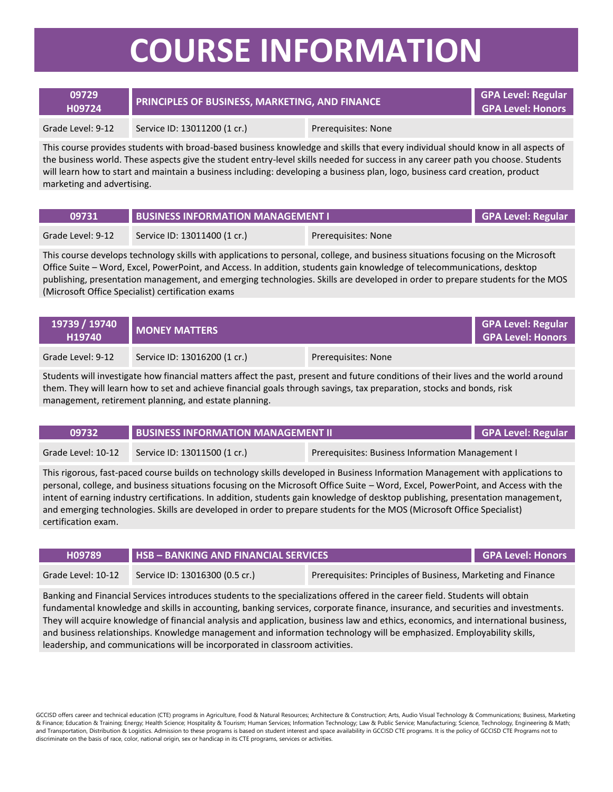## **COURSE INFORMATION**

| 09729<br>H09724   | PRINCIPLES OF BUSINESS, MARKETING, AND FINANCE |                            | GPA Level: Regular<br><b>GPA Level: Honors</b> |
|-------------------|------------------------------------------------|----------------------------|------------------------------------------------|
| Grade Level: 9-12 | Service ID: 13011200 (1 cr.)                   | <b>Prerequisites: None</b> |                                                |

This course provides students with broad-based business knowledge and skills that every individual should know in all aspects of the business world. These aspects give the student entry-level skills needed for success in any career path you choose. Students will learn how to start and maintain a business including: developing a business plan, logo, business card creation, product marketing and advertising.

| 09731             | <b>BUSINESS INFORMATION MANAGEMENT I</b> |                     | GPA Level: Regular |
|-------------------|------------------------------------------|---------------------|--------------------|
| Grade Level: 9-12 | Service ID: 13011400 (1 cr.)             | Prereguisites: None |                    |

This course develops technology skills with applications to personal, college, and business situations focusing on the Microsoft Office Suite – Word, Excel, PowerPoint, and Access. In addition, students gain knowledge of telecommunications, desktop publishing, presentation management, and emerging technologies. Skills are developed in order to prepare students for the MOS (Microsoft Office Specialist) certification exams

| 19739 / 19740<br>H19740 | <b>MONEY MATTERS</b>         |                     | <b>GPA Level: Regular</b><br><b>GPA Level: Honors</b> |
|-------------------------|------------------------------|---------------------|-------------------------------------------------------|
| Grade Level: 9-12       | Service ID: 13016200 (1 cr.) | Prerequisites: None |                                                       |

Students will investigate how financial matters affect the past, present and future conditions of their lives and the world around them. They will learn how to set and achieve financial goals through savings, tax preparation, stocks and bonds, risk management, retirement planning, and estate planning.

| 09732              | <b>BUSINESS INFORMATION MANAGEMENT II</b> |                                                  | GPA Level: Regular |
|--------------------|-------------------------------------------|--------------------------------------------------|--------------------|
| Grade Level: 10-12 | Service ID: 13011500 (1 cr.)              | Prerequisites: Business Information Management I |                    |

This rigorous, fast-paced course builds on technology skills developed in Business Information Management with applications to personal, college, and business situations focusing on the Microsoft Office Suite – Word, Excel, PowerPoint, and Access with the intent of earning industry certifications. In addition, students gain knowledge of desktop publishing, presentation management, and emerging technologies. Skills are developed in order to prepare students for the MOS (Microsoft Office Specialist) certification exam.

| H09789             | <b>HSB-BANKING AND FINANCIAL SERVICES</b>                                                      |  | GPA Level: Honors |
|--------------------|------------------------------------------------------------------------------------------------|--|-------------------|
| Grade Level: 10-12 | Prerequisites: Principles of Business, Marketing and Finance<br>Service ID: 13016300 (0.5 cr.) |  |                   |
|                    |                                                                                                |  |                   |

Banking and Financial Services introduces students to the specializations offered in the career field. Students will obtain fundamental knowledge and skills in accounting, banking services, corporate finance, insurance, and securities and investments. They will acquire knowledge of financial analysis and application, business law and ethics, economics, and international business, and business relationships. Knowledge management and information technology will be emphasized. Employability skills, leadership, and communications will be incorporated in classroom activities.

GCCISD offers career and technical education (CTE) programs in Agriculture, Food & Natural Resources; Architecture & Construction; Arts, Audio Visual Technology & Communications; Business, Marketing & Finance; Education & Training; Energy; Health Science; Hospitality & Tourism; Human Services; Information Technology; Law & Public Service; Manufacturing; Science, Technology, Engineering & Math; and Transportation, Distribution & Logistics. Admission to these programs is based on student interest and space availability in GCCISD CTE programs. It is the policy of GCCISD CTE Programs not to discriminate on the basis of race, color, national origin, sex or handicap in its CTE programs, services or activities.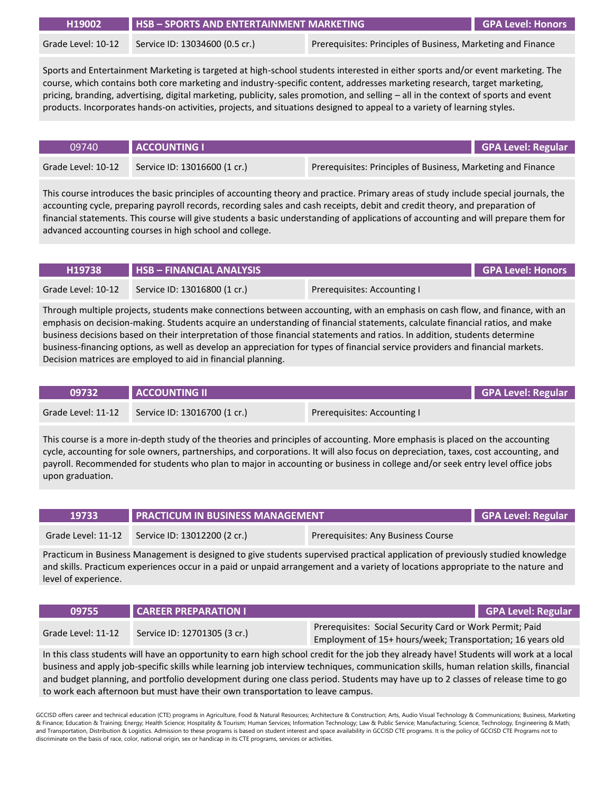| H19002             | $HSB - SPORTS AND ENTERTAINMENT MARKETING$ |                                                              | GPA Level: Honors |
|--------------------|--------------------------------------------|--------------------------------------------------------------|-------------------|
| Grade Level: 10-12 | Service ID: 13034600 (0.5 cr.)             | Prerequisites: Principles of Business, Marketing and Finance |                   |

Sports and Entertainment Marketing is targeted at high-school students interested in either sports and/or event marketing. The course, which contains both core marketing and industry-specific content, addresses marketing research, target marketing, pricing, branding, advertising, digital marketing, publicity, sales promotion, and selling – all in the context of sports and event products. Incorporates hands-on activities, projects, and situations designed to appeal to a variety of learning styles.

| 09740              | <b>ACCOUNTING I</b>          | GPA Level: Regular                                           |
|--------------------|------------------------------|--------------------------------------------------------------|
| Grade Level: 10-12 | Service ID: 13016600 (1 cr.) | Prerequisites: Principles of Business, Marketing and Finance |

This course introduces the basic principles of accounting theory and practice. Primary areas of study include special journals, the accounting cycle, preparing payroll records, recording sales and cash receipts, debit and credit theory, and preparation of financial statements. This course will give students a basic understanding of applications of accounting and will prepare them for advanced accounting courses in high school and college.

| H19738             | $HSB - FINANCIAL ANALYSIS$   |                             | GPA Level: Honors |
|--------------------|------------------------------|-----------------------------|-------------------|
| Grade Level: 10-12 | Service ID: 13016800 (1 cr.) | Prerequisites: Accounting I |                   |

Through multiple projects, students make connections between accounting, with an emphasis on cash flow, and finance, with an emphasis on decision-making. Students acquire an understanding of financial statements, calculate financial ratios, and make business decisions based on their interpretation of those financial statements and ratios. In addition, students determine business-financing options, as well as develop an appreciation for types of financial service providers and financial markets. Decision matrices are employed to aid in financial planning.

| 09732              | <b>ACCOUNTING II</b>         |                             | GPA Level: Regular |
|--------------------|------------------------------|-----------------------------|--------------------|
| Grade Level: 11-12 | Service ID: 13016700 (1 cr.) | Prerequisites: Accounting I |                    |

This course is a more in-depth study of the theories and principles of accounting. More emphasis is placed on the accounting cycle, accounting for sole owners, partnerships, and corporations. It will also focus on depreciation, taxes, cost accounting, and payroll. Recommended for students who plan to major in accounting or business in college and/or seek entry level office jobs upon graduation.

| 19733 | <b>PRACTICUM IN BUSINESS MANAGEMENT</b>         | GPA Level: Regular                 |  |
|-------|-------------------------------------------------|------------------------------------|--|
|       | Grade Level: 11-12 Service ID: 13012200 (2 cr.) | Prerequisites: Any Business Course |  |
|       |                                                 |                                    |  |

Practicum in Business Management is designed to give students supervised practical application of previously studied knowledge and skills. Practicum experiences occur in a paid or unpaid arrangement and a variety of locations appropriate to the nature and level of experience.

| 09755              | CAREER PREPARATION I                                                                                                                                   |  |  | <b>GPA Level: Regular</b> |
|--------------------|--------------------------------------------------------------------------------------------------------------------------------------------------------|--|--|---------------------------|
| Grade Level: 11-12 | Prerequisites: Social Security Card or Work Permit; Paid<br>Service ID: 12701305 (3 cr.)<br>Employment of 15+ hours/week; Transportation; 16 years old |  |  |                           |
|                    |                                                                                                                                                        |  |  |                           |

In this class students will have an opportunity to earn high school credit for the job they already have! Students will work at a local business and apply job-specific skills while learning job interview techniques, communication skills, human relation skills, financial and budget planning, and portfolio development during one class period. Students may have up to 2 classes of release time to go to work each afternoon but must have their own transportation to leave campus.

GCCISD offers career and technical education (CTE) programs in Agriculture, Food & Natural Resources; Architecture & Construction; Arts, Audio Visual Technology & Communications; Business, Marketing & Finance; Education & Training; Energy; Health Science; Hospitality & Tourism; Human Services; Information Technology; Law & Public Service; Manufacturing; Science, Technology, Engineering & Math; and Transportation, Distribution & Logistics. Admission to these programs is based on student interest and space availability in GCCISD CTE programs. It is the policy of GCCISD CTE Programs not to discriminate on the basis of race, color, national origin, sex or handicap in its CTE programs, services or activities.